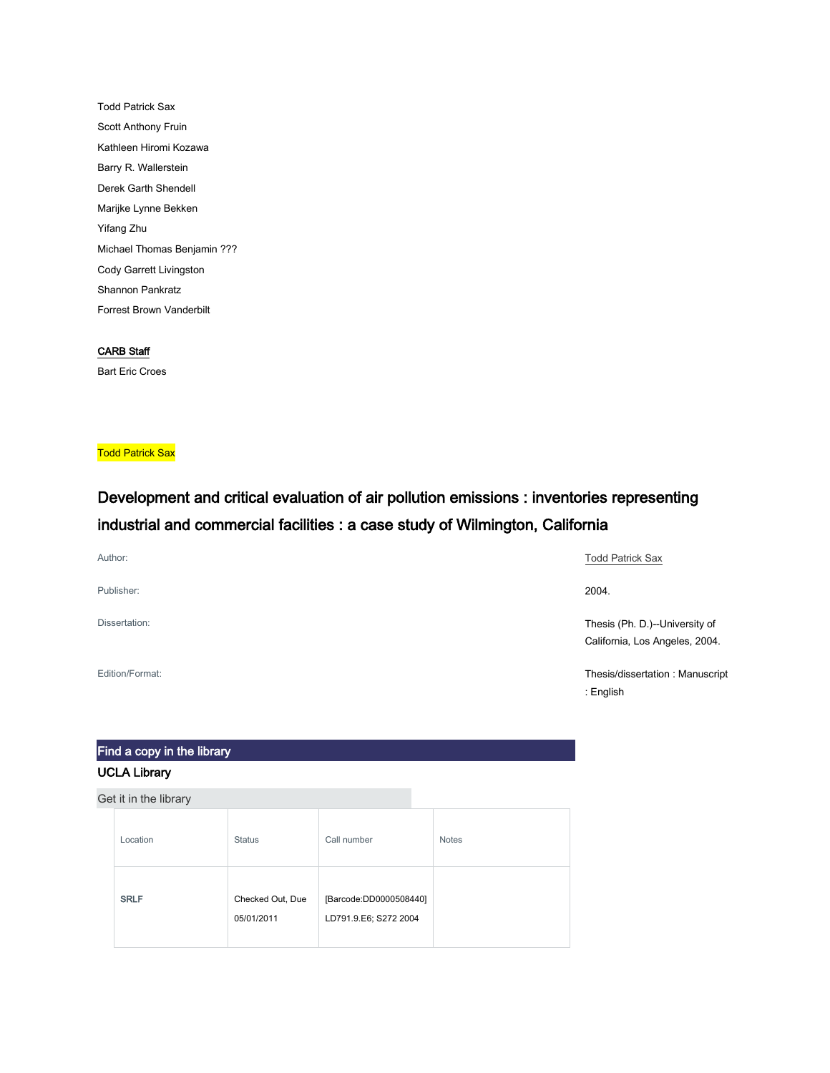Todd Patrick Sax Scott Anthony Fruin Kathleen Hiromi Kozawa Barry R. Wallerstein Derek Garth Shendell Marijke Lynne Bekken Yifang Zhu Michael Thomas Benjamin ??? Cody Garrett Livingston Shannon Pankratz Forrest Brown Vanderbilt

#### CARB Staff

Bart Eric Croes

**Todd Patrick Sax** 

## Development and critical evaluation of air pollution emissions : inventories representing industrial and commercial facilities : a case study of Wilmington, California

| Author:         | <b>Todd Patrick Sax</b>         |
|-----------------|---------------------------------|
| Publisher:      | 2004.                           |
| Dissertation:   | Thesis (Ph. D.)--University of  |
|                 | California, Los Angeles, 2004.  |
| Edition/Format: | Thesis/dissertation: Manuscript |

: English

# Find a copy in the library

## UCLA Library

| Location    | <b>Status</b>                  | Call number                                     | <b>Notes</b> |
|-------------|--------------------------------|-------------------------------------------------|--------------|
| <b>SRLF</b> | Checked Out, Due<br>05/01/2011 | [Barcode:DD0000508440]<br>LD791.9.E6; S272 2004 |              |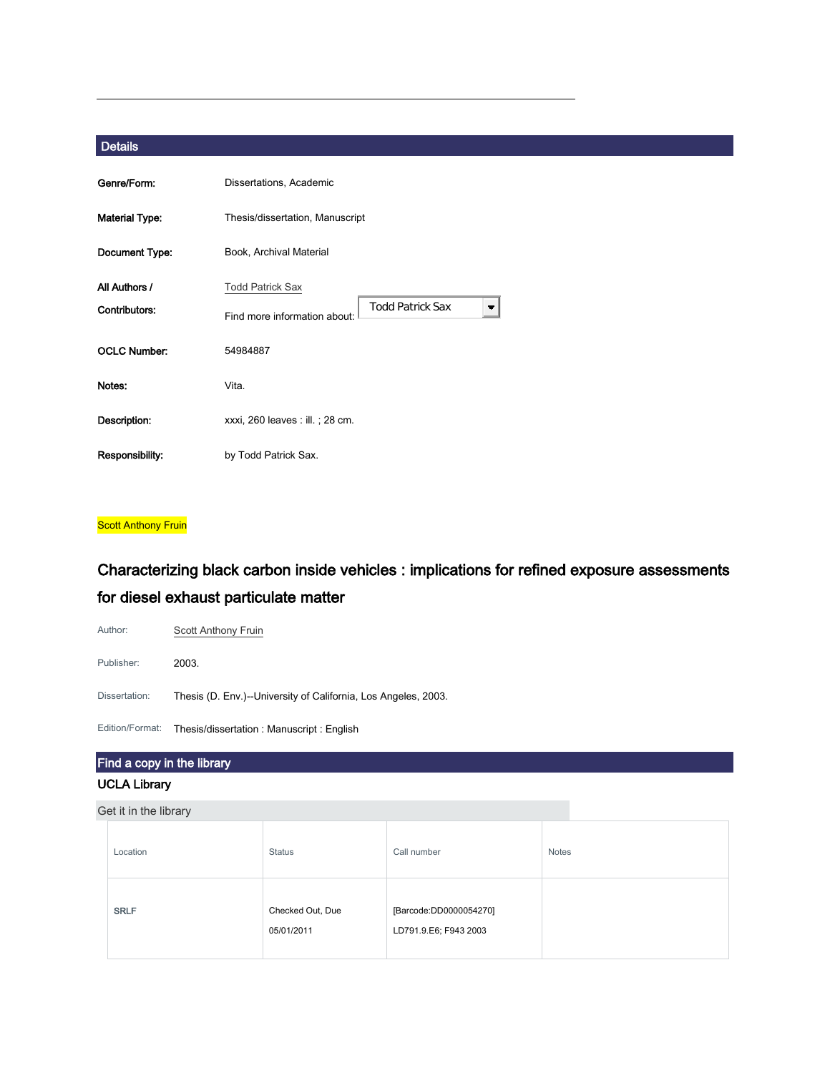| Genre/Form:                    | Dissertations, Academic                                                            |  |  |
|--------------------------------|------------------------------------------------------------------------------------|--|--|
| <b>Material Type:</b>          | Thesis/dissertation, Manuscript                                                    |  |  |
| Document Type:                 | Book, Archival Material                                                            |  |  |
| All Authors /<br>Contributors: | <b>Todd Patrick Sax</b><br><b>Todd Patrick Sax</b><br>Find more information about: |  |  |
| <b>OCLC Number:</b>            | 54984887                                                                           |  |  |
| Notes:                         | Vita.                                                                              |  |  |
| Description:                   | xxxi, 260 leaves : ill. ; 28 cm.                                                   |  |  |
| Responsibility:                | by Todd Patrick Sax.                                                               |  |  |

#### **Scott Anthony Fruin**

## Characterizing black carbon inside vehicles : implications for refined exposure assessments for diesel exhaust particulate matter

| Author:         | Scott Anthony Fruin                                            |
|-----------------|----------------------------------------------------------------|
| Publisher:      | 2003.                                                          |
| Dissertation:   | Thesis (D. Env.)--University of California, Los Angeles, 2003. |
| Edition/Format: | Thesis/dissertation: Manuscript: English                       |

## Find a copy in the library UCLA Library

| Location    | <b>Status</b>                  | Call number                                     | <b>Notes</b> |
|-------------|--------------------------------|-------------------------------------------------|--------------|
| <b>SRLF</b> | Checked Out, Due<br>05/01/2011 | [Barcode:DD0000054270]<br>LD791.9.E6; F943 2003 |              |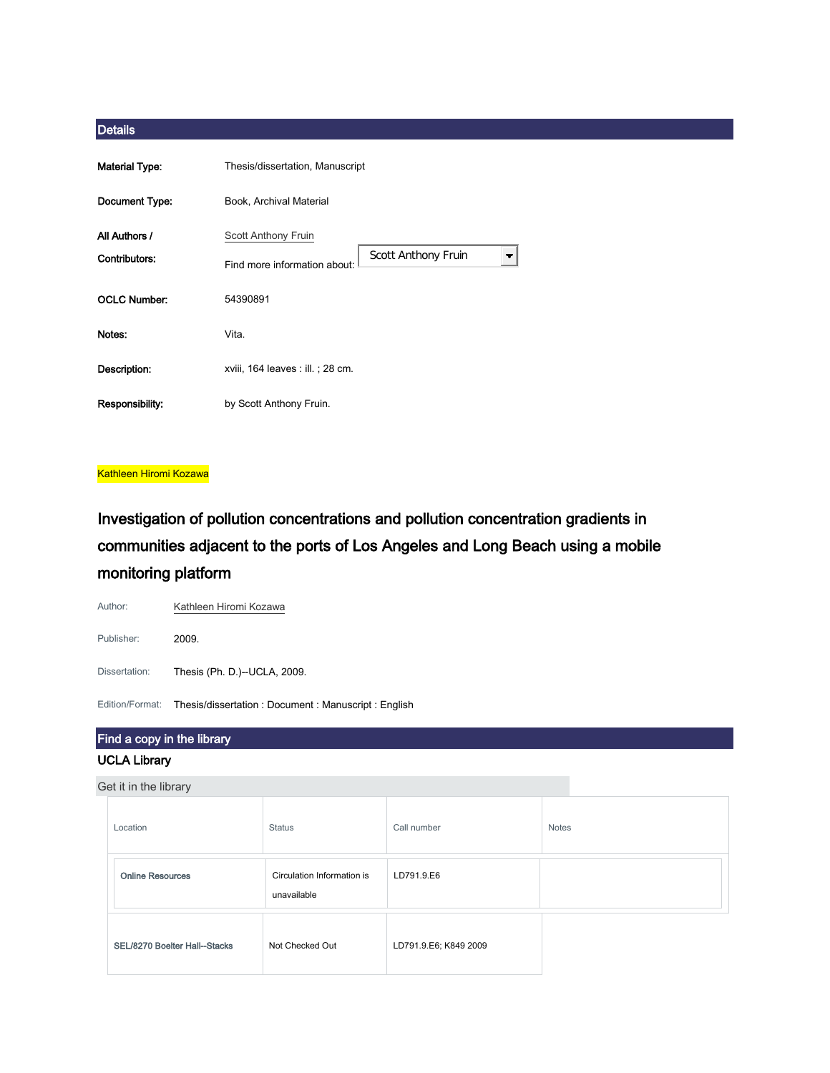| <b>Material Type:</b> | Thesis/dissertation, Manuscript                                                 |  |  |
|-----------------------|---------------------------------------------------------------------------------|--|--|
| Document Type:        | Book, Archival Material                                                         |  |  |
| All Authors /         | Scott Anthony Fruin                                                             |  |  |
| Contributors:         | Scott Anthony Fruin<br>$\overline{\phantom{a}}$<br>Find more information about: |  |  |
| <b>OCLC Number:</b>   | 54390891                                                                        |  |  |
| Notes:                | Vita.                                                                           |  |  |
| Description:          | xviii, 164 leaves : ill. ; 28 cm.                                               |  |  |
| Responsibility:       | by Scott Anthony Fruin.                                                         |  |  |

#### Kathleen Hiromi Kozawa

Investigation of pollution concentrations and pollution concentration gradients in communities adjacent to the ports of Los Angeles and Long Beach using a mobile monitoring platform



## Find a copy in the library UCLA Library

| Location                     | <b>Status</b>                             | Call number           | <b>Notes</b> |
|------------------------------|-------------------------------------------|-----------------------|--------------|
| <b>Online Resources</b>      | Circulation Information is<br>unavailable | LD791.9.E6            |              |
| SEL/8270 Boelter Hall-Stacks | Not Checked Out                           | LD791.9.E6; K849 2009 |              |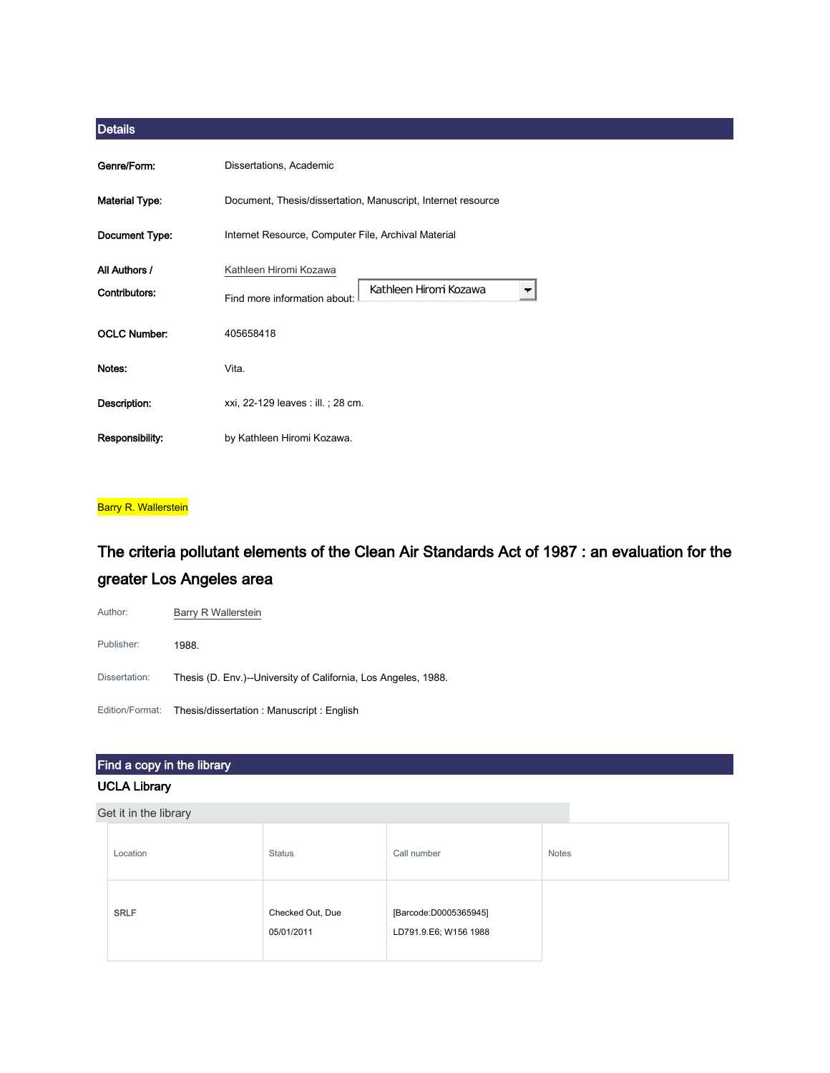| Genre/Form:                    | Dissertations, Academic                                                                                      |
|--------------------------------|--------------------------------------------------------------------------------------------------------------|
| <b>Material Type:</b>          | Document, Thesis/dissertation, Manuscript, Internet resource                                                 |
| Document Type:                 | Internet Resource, Computer File, Archival Material                                                          |
| All Authors /<br>Contributors: | Kathleen Hiromi Kozawa<br>Kathleen Hiromi Kozawa<br>$\overline{\phantom{a}}$<br>Find more information about: |
| <b>OCLC Number:</b>            | 405658418                                                                                                    |
| Notes:                         | Vita.                                                                                                        |
| Description:                   | xxi, 22-129 leaves : ill. ; 28 cm.                                                                           |
| Responsibility:                | by Kathleen Hiromi Kozawa.                                                                                   |

#### **Barry R. Wallerstein**

## The criteria pollutant elements of the Clean Air Standards Act of 1987 : an evaluation for the greater Los Angeles area

Author: **[Barry R Wallerstein](http://ucla.worldcat.org/search?q=au%3A%22Wallerstein%2C+Barry+R.%2C%22&qt=hot_author)** Publisher: 1988. Dissertation: Thesis (D. Env.)--University of California, Los Angeles, 1988. Edition/Format: Thesis/dissertation : Manuscript : English

## Find a copy in the library

#### UCLA Library

| Location    | <b>Status</b>                  | Call number                                    | <b>Notes</b> |
|-------------|--------------------------------|------------------------------------------------|--------------|
| <b>SRLF</b> | Checked Out, Due<br>05/01/2011 | [Barcode:D0005365945]<br>LD791.9.E6; W156 1988 |              |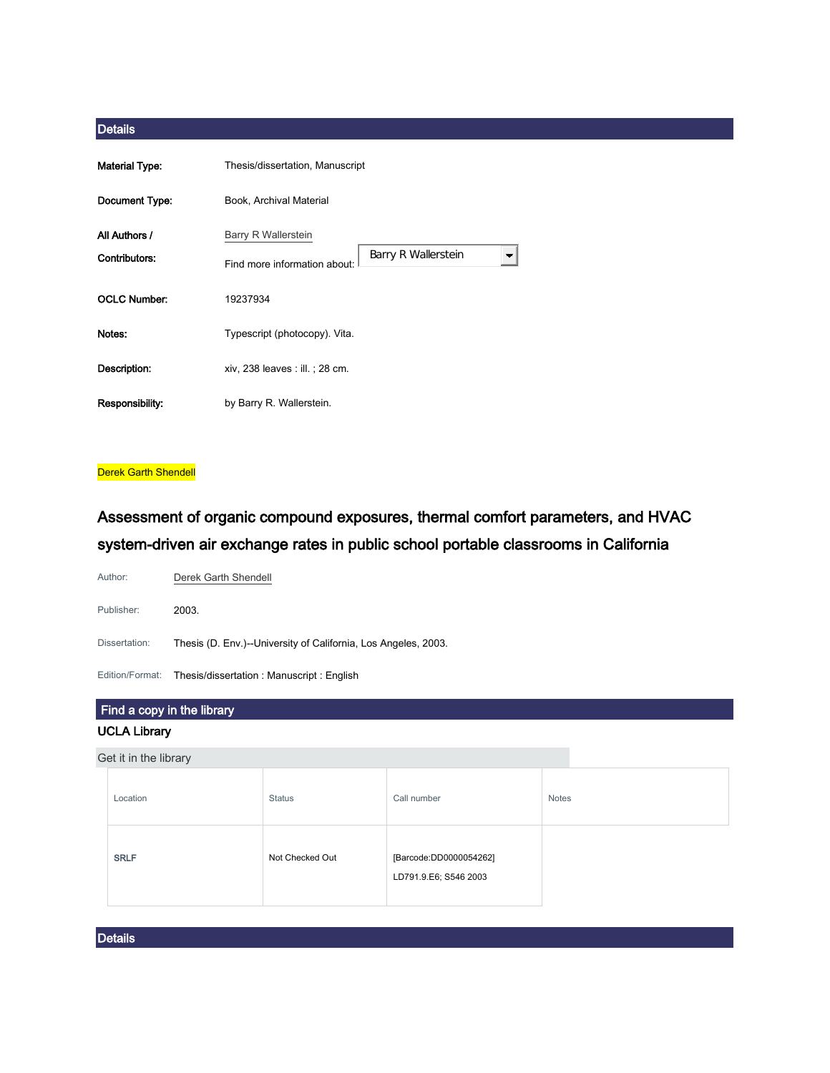| <b>Material Type:</b> | Thesis/dissertation, Manuscript                          |  |  |
|-----------------------|----------------------------------------------------------|--|--|
| Document Type:        | Book, Archival Material                                  |  |  |
| All Authors /         | Barry R Wallerstein                                      |  |  |
| Contributors:         | Barry R Wallerstein<br>▼<br>Find more information about: |  |  |
| <b>OCLC Number:</b>   | 19237934                                                 |  |  |
| Notes:                | Typescript (photocopy). Vita.                            |  |  |
| Description:          | xiv, 238 leaves : ill. ; 28 cm.                          |  |  |
| Responsibility:       | by Barry R. Wallerstein.                                 |  |  |

**Derek Garth Shendell** 

Assessment of organic compound exposures, thermal comfort parameters, and HVAC system-driven air exchange rates in public school portable classrooms in California

| Author:         | Derek Garth Shendell                                           |
|-----------------|----------------------------------------------------------------|
| Publisher:      | 2003.                                                          |
| Dissertation:   | Thesis (D. Env.)--University of California, Los Angeles, 2003. |
| Edition/Format: | Thesis/dissertation: Manuscript: English                       |

## Find a copy in the library

#### UCLA Library

Get it in the library

| Location    | <b>Status</b>   | Call number                                     | <b>Notes</b> |
|-------------|-----------------|-------------------------------------------------|--------------|
| <b>SRLF</b> | Not Checked Out | [Barcode:DD0000054262]<br>LD791.9.E6; S546 2003 |              |

**Details**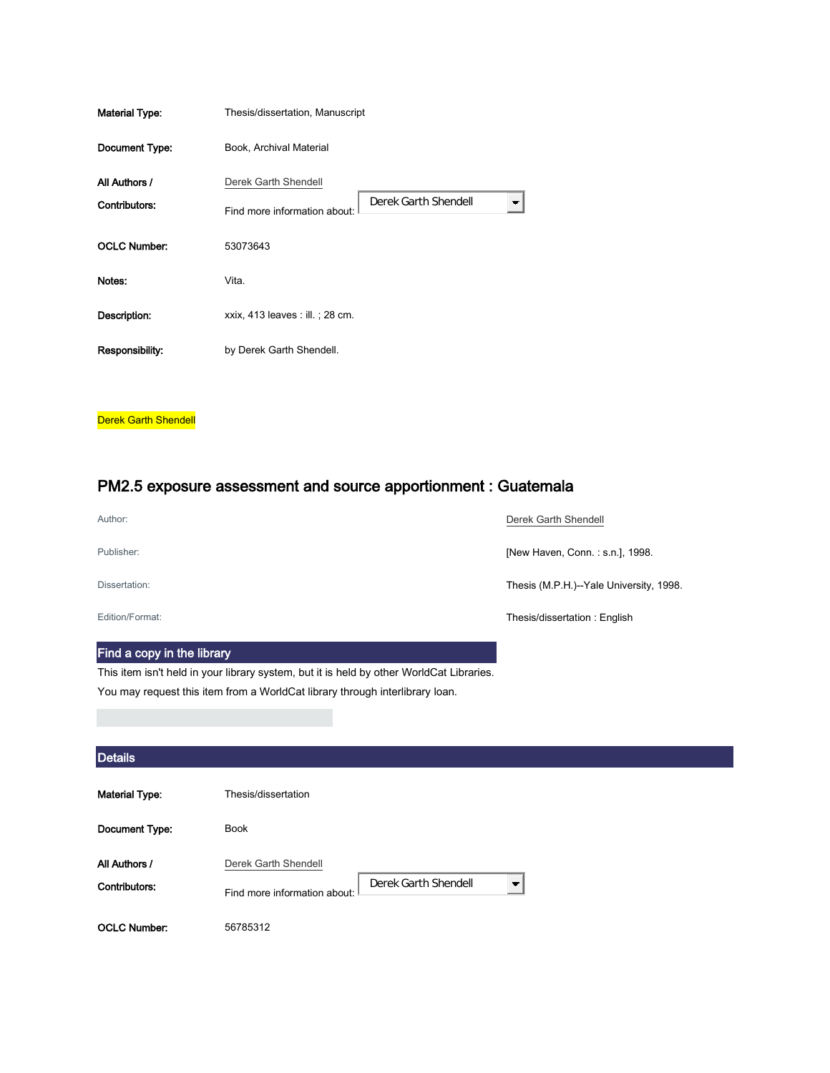| <b>Material Type:</b> | Thesis/dissertation, Manuscript                                        |  |  |
|-----------------------|------------------------------------------------------------------------|--|--|
| Document Type:        | Book, Archival Material                                                |  |  |
| All Authors /         | Derek Garth Shendell                                                   |  |  |
| Contributors:         | Derek Garth Shendell<br>$\blacksquare$<br>Find more information about: |  |  |
| <b>OCLC Number:</b>   | 53073643                                                               |  |  |
| Notes:                | Vita.                                                                  |  |  |
| Description:          | xxix, 413 leaves : ill. ; 28 cm.                                       |  |  |
| Responsibility:       | by Derek Garth Shendell.                                               |  |  |
|                       |                                                                        |  |  |

**Derek Garth Shendell** 

## PM2.5 exposure assessment and source apportionment : Guatemala

| Author:         | Derek Garth Shendell                    |
|-----------------|-----------------------------------------|
| Publisher:      | [New Haven, Conn.: s.n.], 1998.         |
| Dissertation:   | Thesis (M.P.H.)--Yale University, 1998. |
| Edition/Format: | Thesis/dissertation: English            |

## Find a copy in the library

This item isn't held in your library system, but it is held by other WorldCat Libraries. You may request this item from a WorldCat library through interlibrary loan.

| <b>Details</b>                 |                                                                                                   |  |
|--------------------------------|---------------------------------------------------------------------------------------------------|--|
| <b>Material Type:</b>          | Thesis/dissertation                                                                               |  |
| Document Type:                 | <b>Book</b>                                                                                       |  |
| All Authors /<br>Contributors: | Derek Garth Shendell<br>Derek Garth Shendell<br>$\blacksquare$<br>Find more information about: II |  |
| <b>OCLC Number:</b>            | 56785312                                                                                          |  |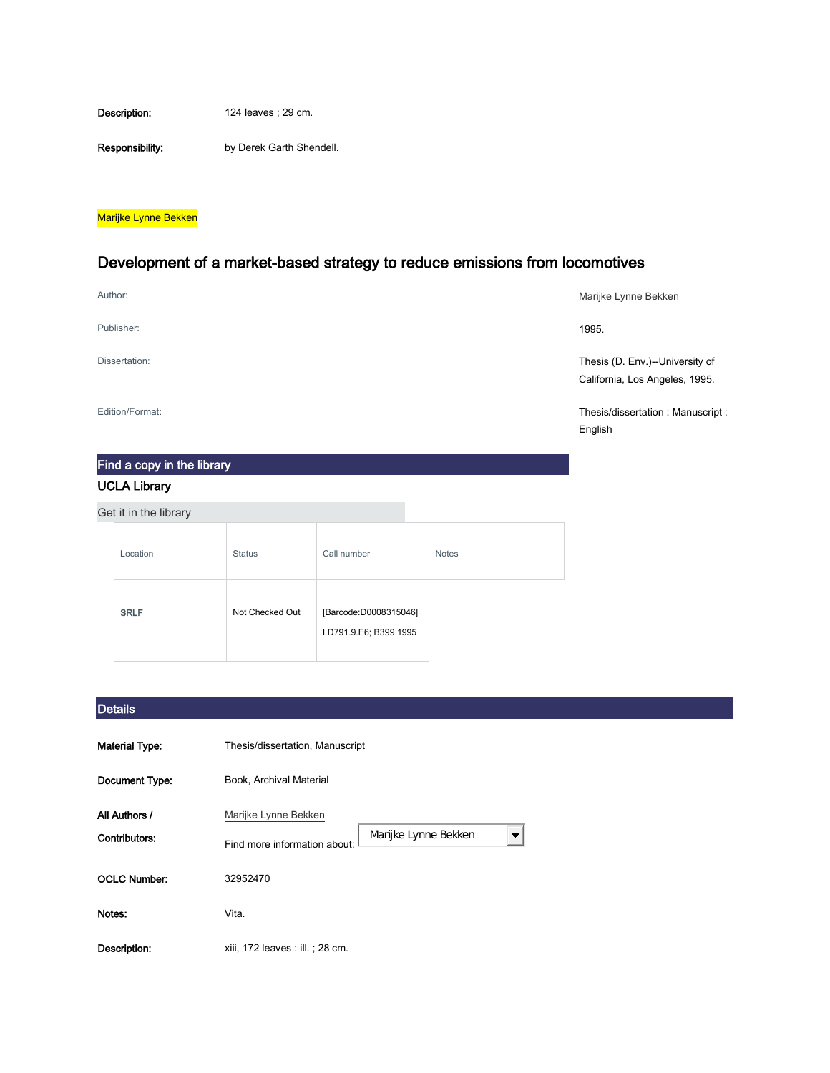Description: 124 leaves ; 29 cm.

Responsibility: by Derek Garth Shendell.

#### Marijke Lynne Bekken

## Development of a market-based strategy to reduce emissions from locomotives

| Author:         | Marijke Lynne Bekken                                              |
|-----------------|-------------------------------------------------------------------|
| Publisher:      | 1995.                                                             |
| Dissertation:   | Thesis (D. Env.)--University of<br>California, Los Angeles, 1995. |
| Edition/Format: | Thesis/dissertation: Manuscript:<br>English                       |

# Find a copy in the library

## UCLA Library

| Get it in the library |                 |                                                |              |
|-----------------------|-----------------|------------------------------------------------|--------------|
| Location              | <b>Status</b>   | Call number                                    | <b>Notes</b> |
| <b>SRLF</b>           | Not Checked Out | [Barcode:D0008315046]<br>LD791.9.E6; B399 1995 |              |

## **Details**

| <b>Material Type:</b>          | Thesis/dissertation, Manuscript                                                                          |
|--------------------------------|----------------------------------------------------------------------------------------------------------|
| Document Type:                 | Book, Archival Material                                                                                  |
| All Authors /<br>Contributors: | Marijke Lynne Bekken<br>Marijke Lynne Bekken<br>$\overline{\phantom{a}}$<br>Find more information about: |
| <b>OCLC Number:</b>            | 32952470                                                                                                 |
| Notes:                         | Vita.                                                                                                    |
| Description:                   | xiii, 172 leaves : ill. ; 28 cm.                                                                         |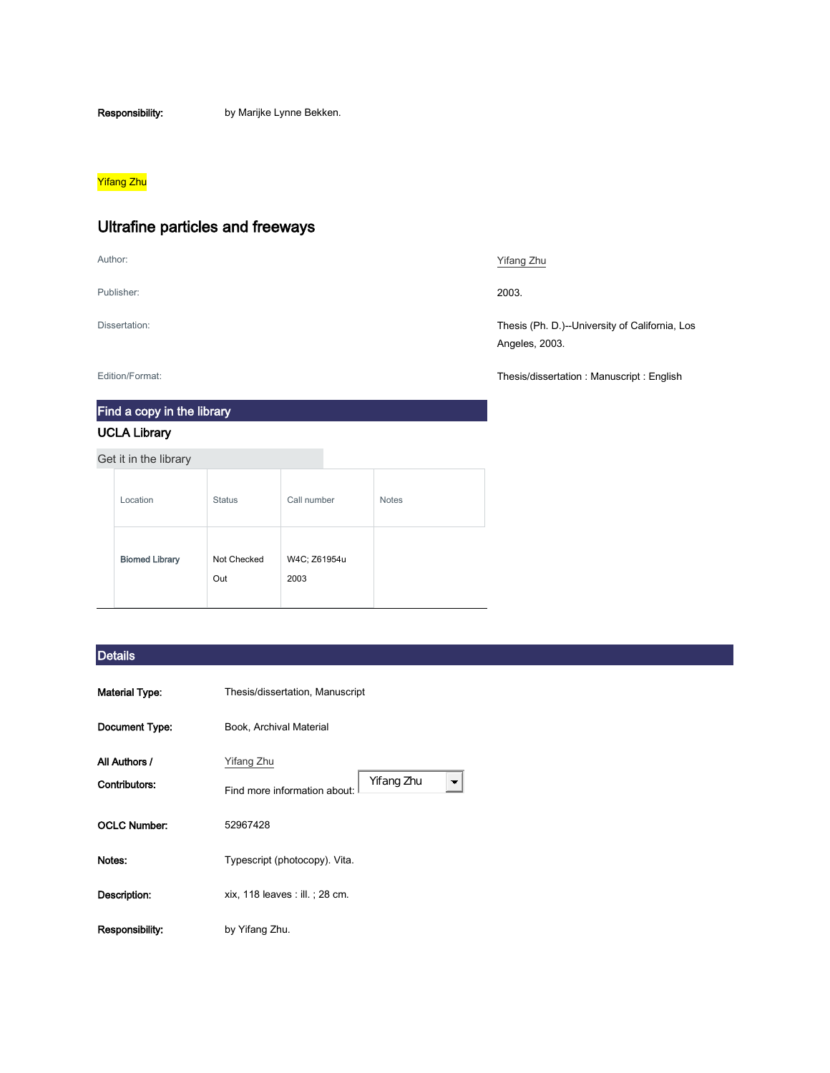Responsibility: by Marijke Lynne Bekken.

### <mark>Yifang Zhu</mark>

## Ultrafine particles and freeways

Publisher: 2003.

Find a copy in the library

### UCLA Library

Get it in the library

| Location              | <b>Status</b>      | Call number          | <b>Notes</b> |
|-----------------------|--------------------|----------------------|--------------|
| <b>Biomed Library</b> | Not Checked<br>Out | W4C; Z61954u<br>2003 |              |

### **Details**

| <b>Material Type:</b> | Thesis/dissertation, Manuscript            |  |  |
|-----------------------|--------------------------------------------|--|--|
| Document Type:        | Book, Archival Material                    |  |  |
| All Authors /         | Yifang Zhu                                 |  |  |
| Contributors:         | Yifang Zhu<br>Find more information about: |  |  |
| <b>OCLC Number:</b>   | 52967428                                   |  |  |
| Notes:                | Typescript (photocopy). Vita.              |  |  |
| Description:          | xix, 118 leaves : ill. ; 28 cm.            |  |  |
| Responsibility:       | by Yifang Zhu.                             |  |  |

#### Author: [Yifang Zhu](http://ucla.worldcat.org/search?q=au%3A%22Zhu%2C+Yifang%2C%22&qt=hot_author)

Dissertation: Thesis (Ph. D.)--University of California, Los Angeles, 2003.

Edition/Format: Thesis/dissertation : Manuscript : English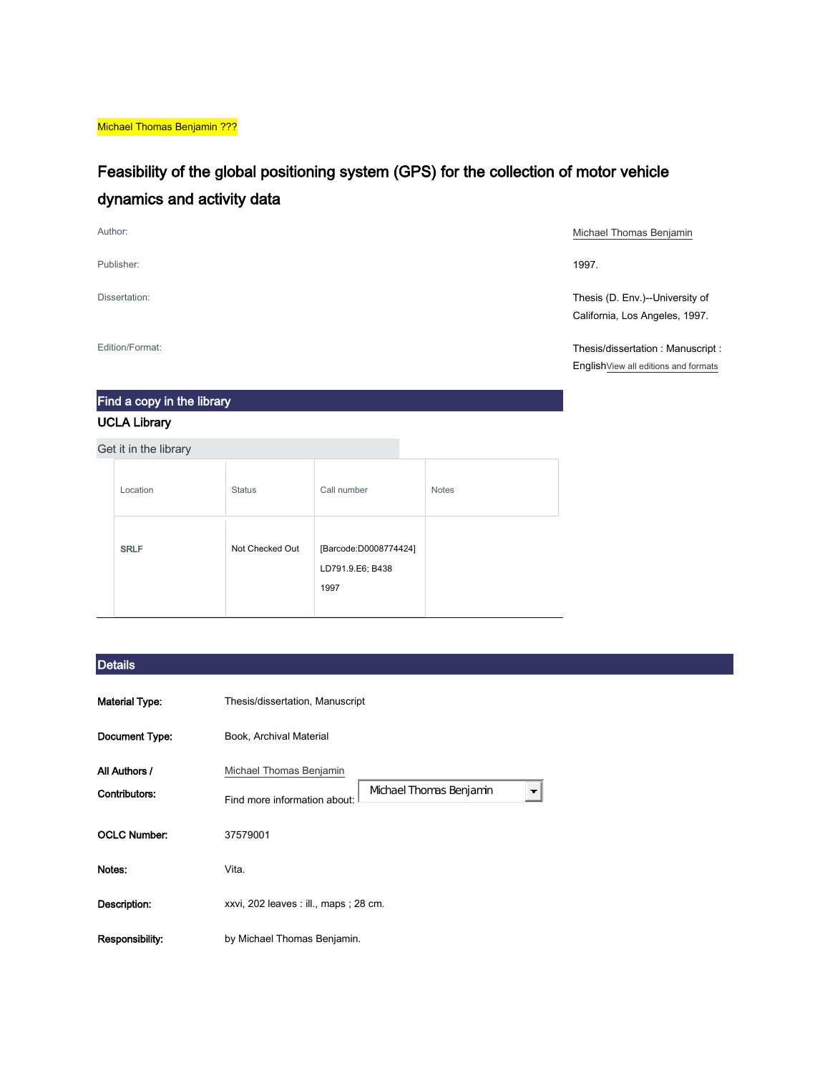Michael Thomas Benjamin ???

## Feasibility of the global positioning system (GPS) for the collection of motor vehicle dynamics and activity data

Publisher: 1997.

Author: **[Michael Thomas Benjamin](http://ucla.worldcat.org/search?q=au%3A%22Benjamin%2C+Michael+Thomas%2C%22&qt=hot_author) Michael Thomas Benjamin** 

Dissertation: Thesis (D. Env.)--University of California, Los Angeles, 1997.

Edition/Format: Thesis/dissertation : Manuscript : Englis[hView all editions and formats](http://ucla.worldcat.org/oclc/37579001/editions?editionsView=true&referer=di)

## Find a copy in the library

#### UCLA Library

Get it in the library

| Location    | <b>Status</b>   | Call number                                       | <b>Notes</b> |  |
|-------------|-----------------|---------------------------------------------------|--------------|--|
| <b>SRLF</b> | Not Checked Out | [Barcode:D0008774424]<br>LD791.9.E6; B438<br>1997 |              |  |

#### **Details**

| Material Type:                 | Thesis/dissertation, Manuscript                                                    |  |  |
|--------------------------------|------------------------------------------------------------------------------------|--|--|
| Document Type:                 | Book, Archival Material                                                            |  |  |
| All Authors /<br>Contributors: | Michael Thomas Benjamin<br>Michael Thomas Benjamin<br>Find more information about: |  |  |
| OCLC Number:                   | 37579001                                                                           |  |  |
| Notes:                         | Vita.                                                                              |  |  |
| Description:                   | xxvi, 202 leaves : ill., maps ; 28 cm.                                             |  |  |
| Responsibility:                | by Michael Thomas Benjamin.                                                        |  |  |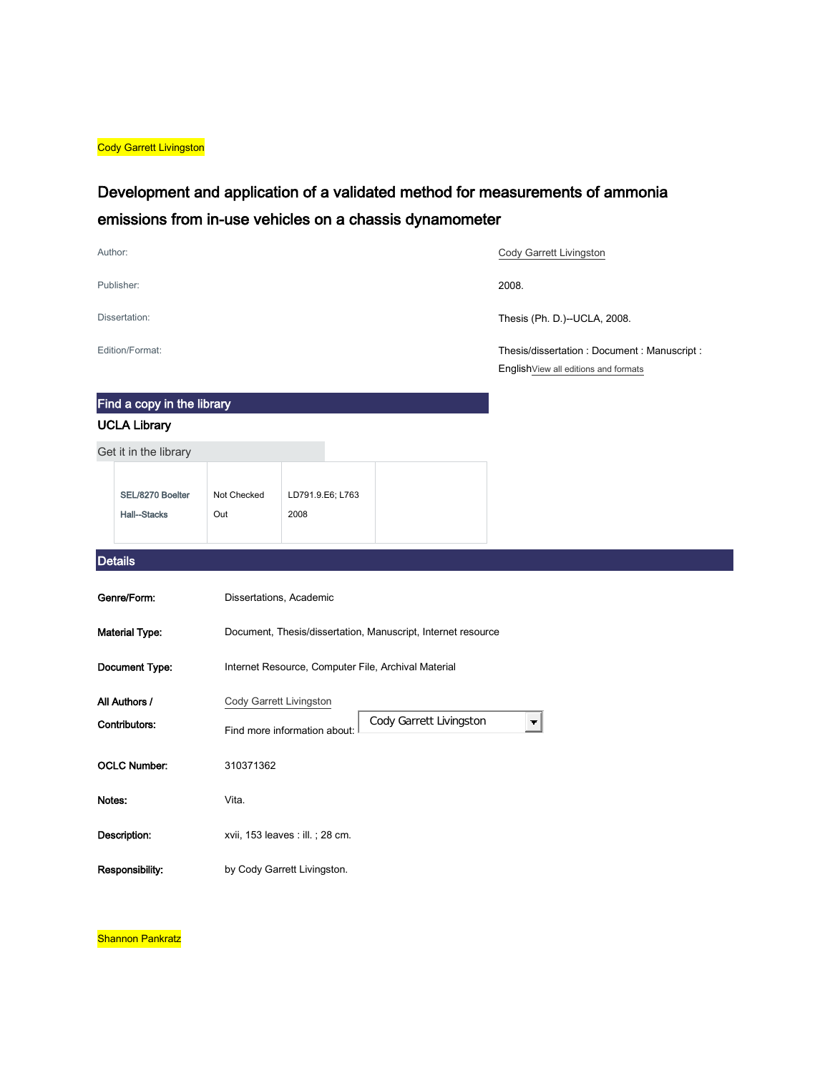**Cody Garrett Livingston** 

## Development and application of a validated method for measurements of ammonia emissions from in-use vehicles on a chassis dynamometer

| Author:                                 |                         |                                                     |                                                              | Cody Garrett Livingston                                                             |
|-----------------------------------------|-------------------------|-----------------------------------------------------|--------------------------------------------------------------|-------------------------------------------------------------------------------------|
| Publisher:                              |                         |                                                     |                                                              | 2008.                                                                               |
| Dissertation:                           |                         |                                                     |                                                              | Thesis (Ph. D.)--UCLA, 2008.                                                        |
| Edition/Format:                         |                         |                                                     |                                                              | Thesis/dissertation: Document: Manuscript:<br>English View all editions and formats |
| Find a copy in the library              |                         |                                                     |                                                              |                                                                                     |
| <b>UCLA Library</b>                     |                         |                                                     |                                                              |                                                                                     |
| Get it in the library                   |                         |                                                     |                                                              |                                                                                     |
| SEL/8270 Boelter<br><b>Hall--Stacks</b> | Not Checked<br>Out      | LD791.9.E6; L763<br>2008                            |                                                              |                                                                                     |
| <b>Details</b>                          |                         |                                                     |                                                              |                                                                                     |
| Genre/Form:                             | Dissertations, Academic |                                                     |                                                              |                                                                                     |
| <b>Material Type:</b>                   |                         |                                                     | Document, Thesis/dissertation, Manuscript, Internet resource |                                                                                     |
| Document Type:                          |                         | Internet Resource, Computer File, Archival Material |                                                              |                                                                                     |
| All Authors /                           | Cody Garrett Livingston |                                                     |                                                              |                                                                                     |
| Contributors:                           |                         | Find more information about:                        | Cody Garrett Livingston                                      | $\blacksquare$                                                                      |
| <b>OCLC Number:</b>                     | 310371362               |                                                     |                                                              |                                                                                     |
| Notes:                                  | Vita.                   |                                                     |                                                              |                                                                                     |
|                                         |                         |                                                     |                                                              |                                                                                     |
| Description:                            |                         | xvii, 153 leaves : ill. ; 28 cm.                    |                                                              |                                                                                     |

Shannon Pankratz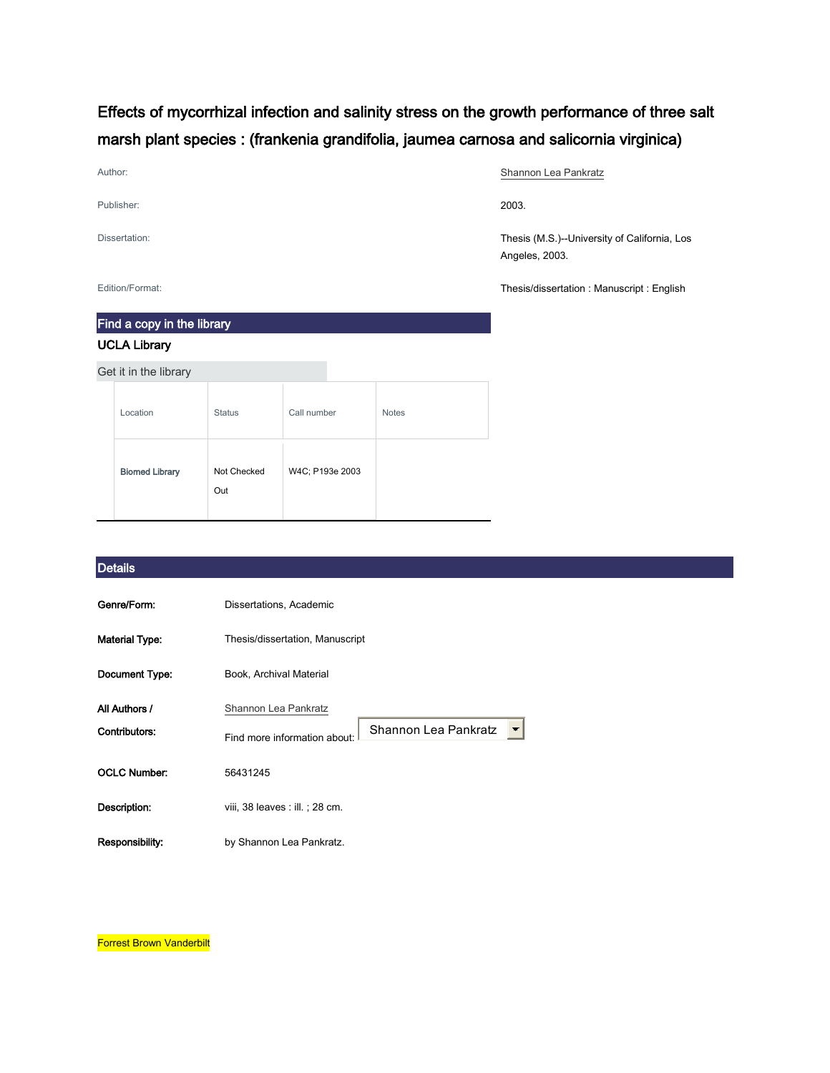## Effects of mycorrhizal infection and salinity stress on the growth performance of three salt marsh plant species : (frankenia grandifolia, jaumea carnosa and salicornia virginica)

| Author:       | Shannon Lea Pankratz                                           |
|---------------|----------------------------------------------------------------|
| Publisher:    | 2003.                                                          |
| Dissertation: | Thesis (M.S.)--University of California, Los<br>Angeles, 2003. |

Edition/Format: Thesis/dissertation : Manuscript : English

## Find a copy in the library UCLA Library

Get it in the library

| Location              | <b>Status</b>      | Call number     | <b>Notes</b> |
|-----------------------|--------------------|-----------------|--------------|
| <b>Biomed Library</b> | Not Checked<br>Out | W4C; P193e 2003 |              |

#### **Details**

| Genre/Form:                    | Dissertations, Academic                                                      |  |
|--------------------------------|------------------------------------------------------------------------------|--|
| <b>Material Type:</b>          | Thesis/dissertation, Manuscript                                              |  |
| Document Type:                 | Book, Archival Material                                                      |  |
| All Authors /<br>Contributors: | Shannon Lea Pankratz<br>Shannon Lea Pankratz<br>Find more information about: |  |
| <b>OCLC Number:</b>            | 56431245                                                                     |  |
| Description:                   | viii, 38 leaves : ill. ; 28 cm.                                              |  |
| Responsibility:                | by Shannon Lea Pankratz.                                                     |  |

**Forrest Brown Vanderbilt**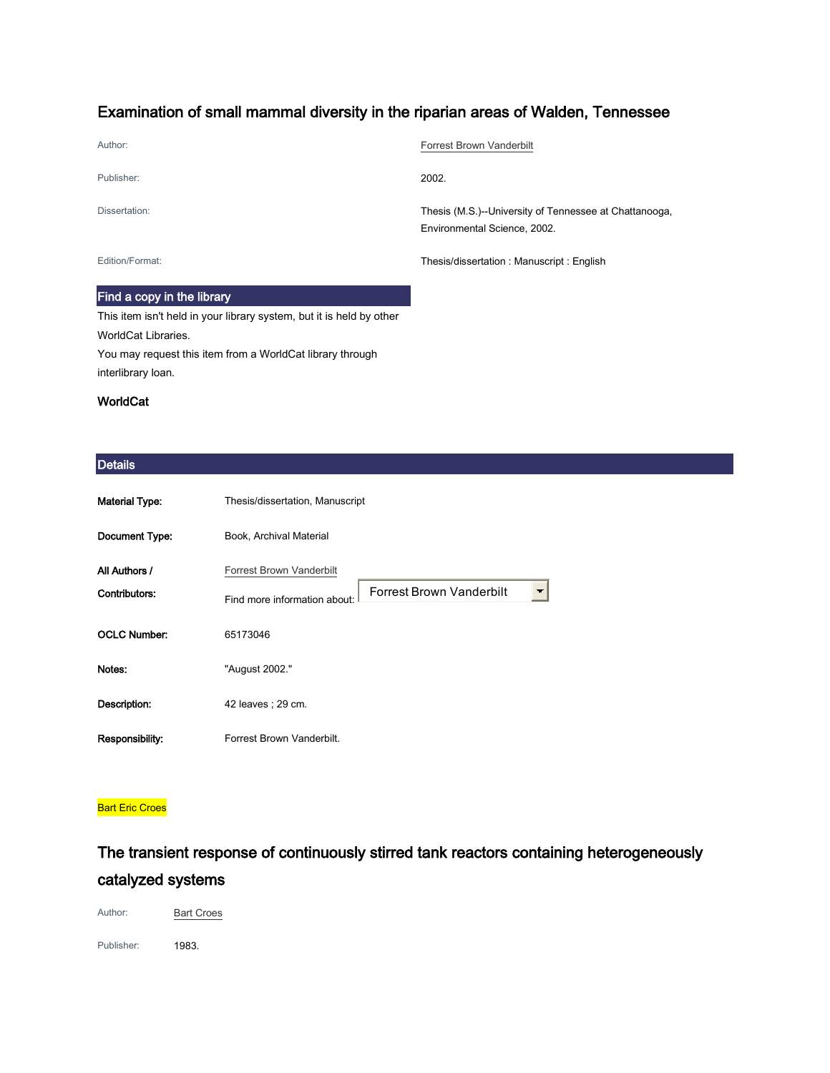## Examination of small mammal diversity in the riparian areas of Walden, Tennessee

| Author:         | <b>Forrest Brown Vanderbilt</b>                                                        |
|-----------------|----------------------------------------------------------------------------------------|
| Publisher:      | 2002.                                                                                  |
| Dissertation:   | Thesis (M.S.)--University of Tennessee at Chattanooga,<br>Environmental Science, 2002. |
| Edition/Format: | Thesis/dissertation: Manuscript: English                                               |

#### Find a copy in the library

This item isn't held in your library system, but it is held by other WorldCat Libraries. You may request this item from a WorldCat library through interlibrary loan.

### WorldCat

#### **Details**

| <b>Material Type:</b>          | Thesis/dissertation, Manuscript                                                                                         |
|--------------------------------|-------------------------------------------------------------------------------------------------------------------------|
| Document Type:                 | Book, Archival Material                                                                                                 |
| All Authors /<br>Contributors: | <b>Forrest Brown Vanderbilt</b><br>Forrest Brown Vanderbilt<br>$\overline{\phantom{a}}$<br>Find more information about: |
| <b>OCLC Number:</b>            | 65173046                                                                                                                |
| Notes:                         | "August 2002."                                                                                                          |
| Description:                   | 42 leaves : 29 cm.                                                                                                      |
| Responsibility:                | Forrest Brown Vanderbilt.                                                                                               |

#### **Bart Eric Croes**

## The transient response of continuously stirred tank reactors containing heterogeneously catalyzed systems

Author: **[Bart Croes](http://ucla.worldcat.org/search?q=au%3A%22Croes%2C+Bart.%22&qt=hot_author)** 

Publisher: 1983.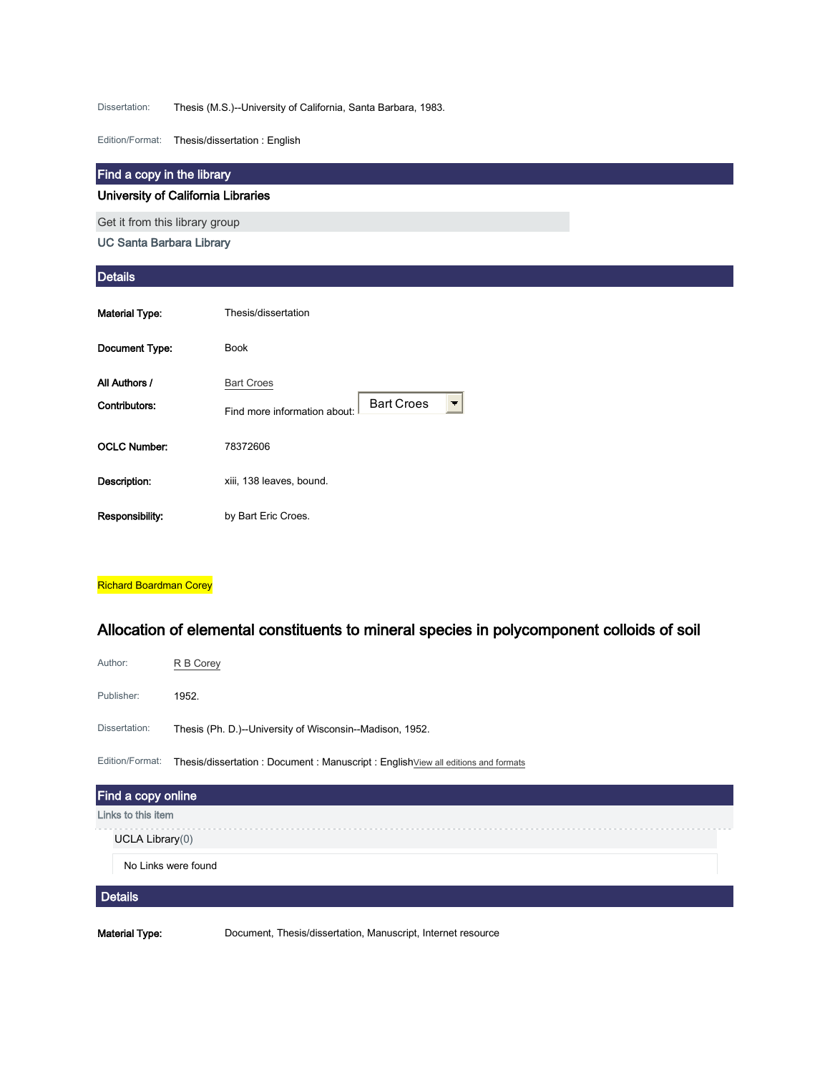Dissertation: Thesis (M.S.)--University of California, Santa Barbara, 1983.

Edition/Format: Thesis/dissertation : English

#### Find a copy in the library

#### University of California Libraries

Get it from this library group

UC Santa Barbara Library

#### **Details**

| <b>Material Type:</b>          | Thesis/dissertation                                                    |
|--------------------------------|------------------------------------------------------------------------|
| Document Type:                 | <b>Book</b>                                                            |
| All Authors /<br>Contributors: | <b>Bart Croes</b><br><b>Bart Croes</b><br>Find more information about: |
| <b>OCLC Number:</b>            | 78372606                                                               |
| Description:                   | xiii, 138 leaves, bound.                                               |
| Responsibility:                | by Bart Eric Croes.                                                    |

#### Richard Boardman Corey

## Allocation of elemental constituents to mineral species in polycomponent colloids of soil

| Author:             | R B Corey                                                                        |  |
|---------------------|----------------------------------------------------------------------------------|--|
| Publisher:          | 1952.                                                                            |  |
| Dissertation:       | Thesis (Ph. D.)--University of Wisconsin--Madison, 1952.                         |  |
| Edition/Format:     | Thesis/dissertation: Document: Manuscript: English View all editions and formats |  |
| Find a copy online  |                                                                                  |  |
| Links to this item  |                                                                                  |  |
| UCLA Library(0)     |                                                                                  |  |
| No Links were found |                                                                                  |  |
| <b>Details</b>      |                                                                                  |  |

Material Type: Document, Thesis/dissertation, Manuscript, Internet resource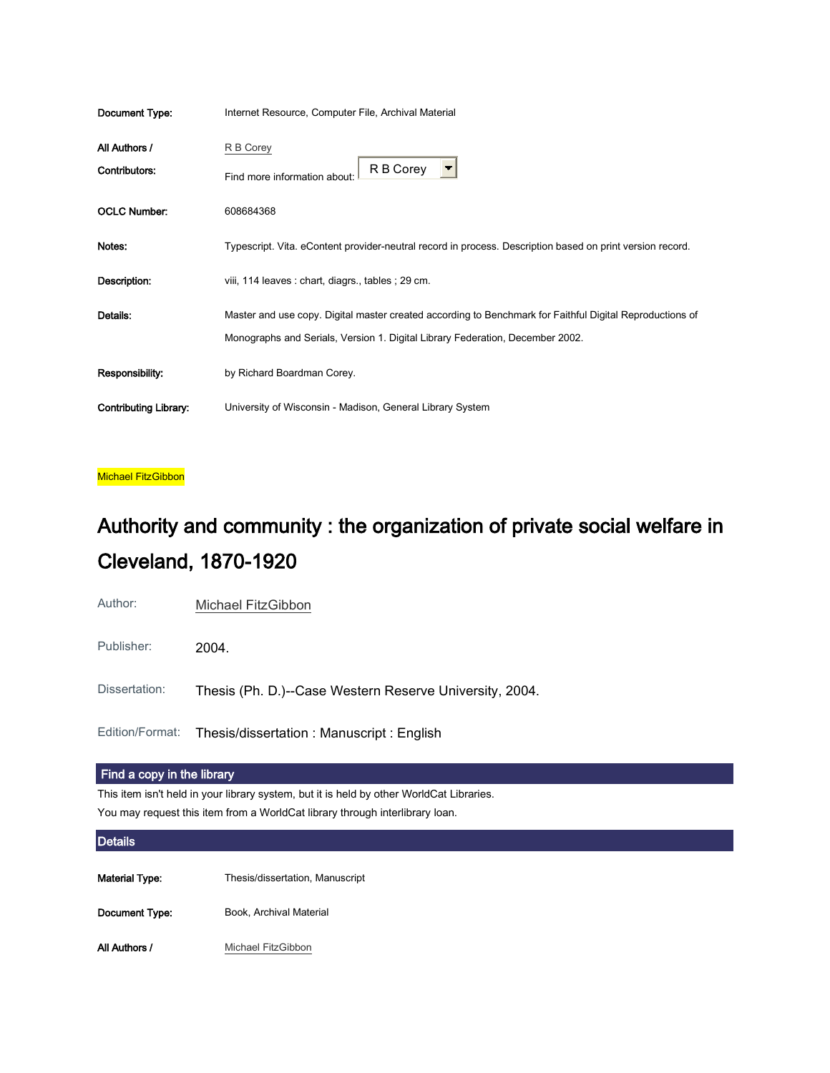| Document Type:               | Internet Resource, Computer File, Archival Material                                                       |
|------------------------------|-----------------------------------------------------------------------------------------------------------|
| All Authors /                | R B Corey                                                                                                 |
| Contributors:                | R B Corey<br>Find more information about                                                                  |
| <b>OCLC Number:</b>          | 608684368                                                                                                 |
| Notes:                       | Typescript. Vita. eContent provider-neutral record in process. Description based on print version record. |
| Description:                 | viii, 114 leaves : chart, diagrs., tables ; 29 cm.                                                        |
| Details:                     | Master and use copy. Digital master created according to Benchmark for Faithful Digital Reproductions of  |
|                              | Monographs and Serials, Version 1. Digital Library Federation, December 2002.                             |
| Responsibility:              | by Richard Boardman Corey.                                                                                |
| <b>Contributing Library:</b> | University of Wisconsin - Madison, General Library System                                                 |

Michael FitzGibbon

# Authority and community : the organization of private social welfare in Cleveland, 1870-1920

Author: [Michael FitzGibbon](http://ucla.worldcat.org/search?q=au%3A%22FitzGibbon%2C+Michael.%22&qt=hot_author)

Publisher: 2004.

Dissertation: Thesis (Ph. D.)--Case Western Reserve University, 2004.

Edition/Format: Thesis/dissertation : Manuscript : English

#### Find a copy in the library

This item isn't held in your library system, but it is held by other WorldCat Libraries. You may request this item from a WorldCat library through interlibrary loan.

#### **Details**

Material Type: Thesis/dissertation, Manuscript

Document Type: Book, Archival Material

All Authors / [Michael FitzGibbon](http://ucla.worldcat.org/search?q=au%3A%22FitzGibbon%2C+Michael.%22&qt=hot_author)